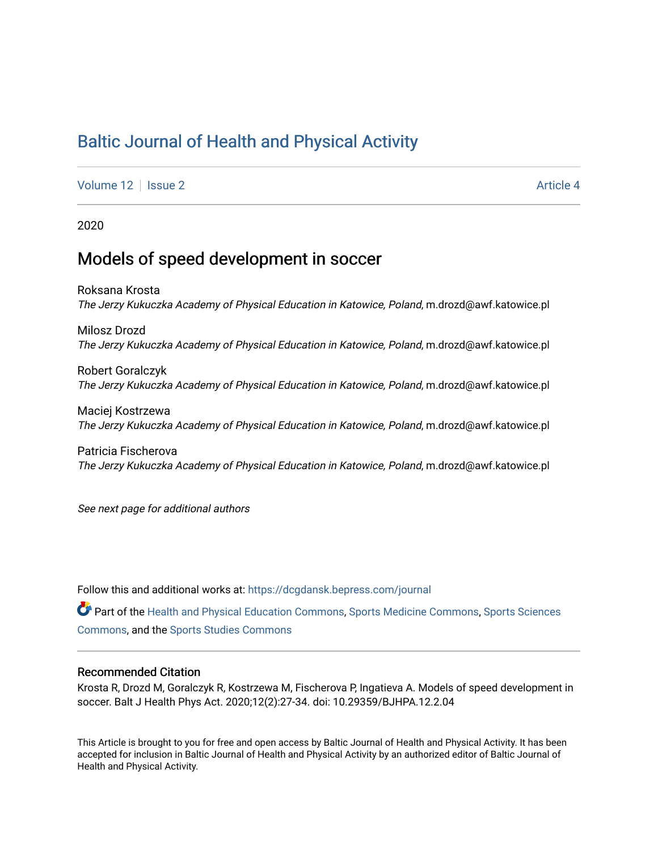# [Baltic Journal of Health and Physical Activity](https://dcgdansk.bepress.com/journal)

[Volume 12](https://dcgdansk.bepress.com/journal/vol12) | [Issue 2](https://dcgdansk.bepress.com/journal/vol12/iss2) Article 4

2020

## Models of speed development in soccer

Roksana Krosta The Jerzy Kukuczka Academy of Physical Education in Katowice, Poland, m.drozd@awf.katowice.pl

Milosz Drozd The Jerzy Kukuczka Academy of Physical Education in Katowice, Poland, m.drozd@awf.katowice.pl

Robert Goralczyk The Jerzy Kukuczka Academy of Physical Education in Katowice, Poland, m.drozd@awf.katowice.pl

Maciej Kostrzewa The Jerzy Kukuczka Academy of Physical Education in Katowice, Poland, m.drozd@awf.katowice.pl

Patricia Fischerova The Jerzy Kukuczka Academy of Physical Education in Katowice, Poland, m.drozd@awf.katowice.pl

See next page for additional authors

Follow this and additional works at: [https://dcgdansk.bepress.com/journal](https://dcgdansk.bepress.com/journal?utm_source=dcgdansk.bepress.com%2Fjournal%2Fvol12%2Fiss2%2F4&utm_medium=PDF&utm_campaign=PDFCoverPages)

Part of the [Health and Physical Education Commons](http://network.bepress.com/hgg/discipline/1327?utm_source=dcgdansk.bepress.com%2Fjournal%2Fvol12%2Fiss2%2F4&utm_medium=PDF&utm_campaign=PDFCoverPages), [Sports Medicine Commons,](http://network.bepress.com/hgg/discipline/1331?utm_source=dcgdansk.bepress.com%2Fjournal%2Fvol12%2Fiss2%2F4&utm_medium=PDF&utm_campaign=PDFCoverPages) [Sports Sciences](http://network.bepress.com/hgg/discipline/759?utm_source=dcgdansk.bepress.com%2Fjournal%2Fvol12%2Fiss2%2F4&utm_medium=PDF&utm_campaign=PDFCoverPages) [Commons](http://network.bepress.com/hgg/discipline/759?utm_source=dcgdansk.bepress.com%2Fjournal%2Fvol12%2Fiss2%2F4&utm_medium=PDF&utm_campaign=PDFCoverPages), and the [Sports Studies Commons](http://network.bepress.com/hgg/discipline/1198?utm_source=dcgdansk.bepress.com%2Fjournal%2Fvol12%2Fiss2%2F4&utm_medium=PDF&utm_campaign=PDFCoverPages) 

#### Recommended Citation

Krosta R, Drozd M, Goralczyk R, Kostrzewa M, Fischerova P, Ingatieva A. Models of speed development in soccer. Balt J Health Phys Act. 2020;12(2):27-34. doi: 10.29359/BJHPA.12.2.04

This Article is brought to you for free and open access by Baltic Journal of Health and Physical Activity. It has been accepted for inclusion in Baltic Journal of Health and Physical Activity by an authorized editor of Baltic Journal of Health and Physical Activity.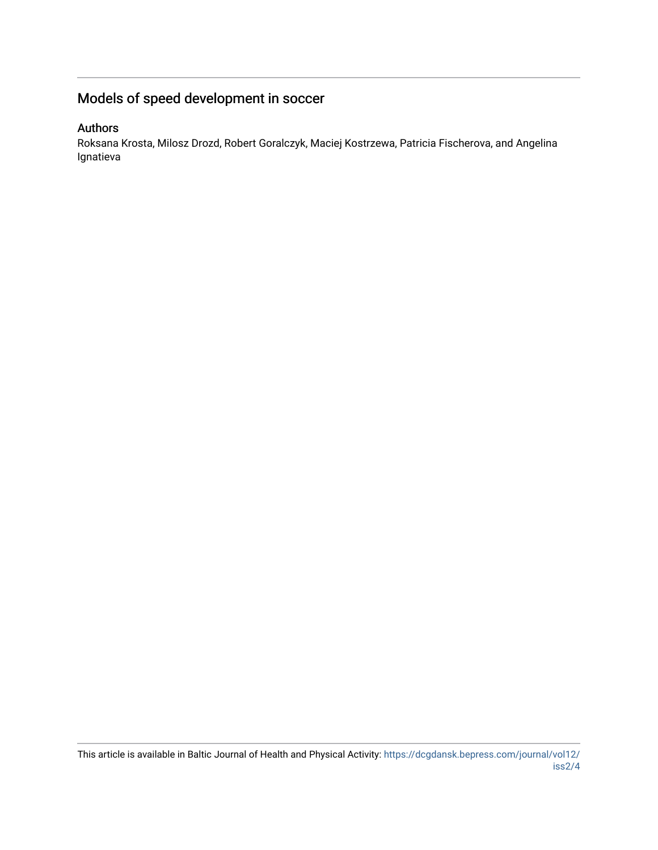# Models of speed development in soccer

#### Authors

Roksana Krosta, Milosz Drozd, Robert Goralczyk, Maciej Kostrzewa, Patricia Fischerova, and Angelina Ignatieva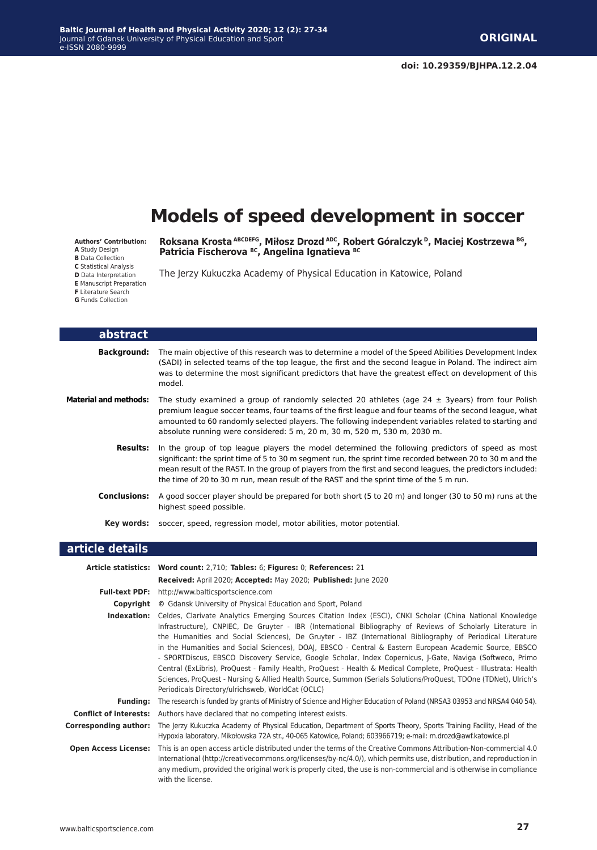# **Models of speed development in soccer**

**Authors' Contribution:**

- **A** Study Design
- **B** Data Collection
- **C** Statistical Analysis **D** Data Interpretation
- **E** Manuscript Preparation
- **F** Literature Search
- 
- **G** Funds Collection

**Roksana Krosta ABCDEFG, Miłosz Drozd ADC, Robert Góralczyk<sup>D</sup>, Maciej Kostrzewa BG, Patricia Fischerova BC, Angelina Ignatieva BC**

The Jerzy Kukuczka Academy of Physical Education in Katowice, Poland

| abstract                     |                                                                                                                                                                                                                                                                                                                                                                                                                            |
|------------------------------|----------------------------------------------------------------------------------------------------------------------------------------------------------------------------------------------------------------------------------------------------------------------------------------------------------------------------------------------------------------------------------------------------------------------------|
| <b>Background:</b>           | The main objective of this research was to determine a model of the Speed Abilities Development Index<br>(SADI) in selected teams of the top league, the first and the second league in Poland. The indirect aim<br>was to determine the most significant predictors that have the greatest effect on development of this<br>model.                                                                                        |
| <b>Material and methods:</b> | The study examined a group of randomly selected 20 athletes (age $24 \pm 3$ years) from four Polish<br>premium league soccer teams, four teams of the first league and four teams of the second league, what<br>amounted to 60 randomly selected players. The following independent variables related to starting and<br>absolute running were considered: 5 m, 20 m, 30 m, 520 m, 530 m, 2030 m.                          |
| <b>Results:</b>              | In the group of top league players the model determined the following predictors of speed as most<br>significant: the sprint time of 5 to 30 m segment run, the sprint time recorded between 20 to 30 m and the<br>mean result of the RAST. In the group of players from the first and second leagues, the predictors included:<br>the time of 20 to 30 m run, mean result of the RAST and the sprint time of the 5 m run. |
| <b>Conclusions:</b>          | A good soccer player should be prepared for both short (5 to 20 m) and longer (30 to 50 m) runs at the<br>highest speed possible.                                                                                                                                                                                                                                                                                          |
|                              | Key words: soccer, speed, regression model, motor abilities, motor potential.                                                                                                                                                                                                                                                                                                                                              |
| .                            |                                                                                                                                                                                                                                                                                                                                                                                                                            |

#### **article details**

|                               | Article statistics: Word count: 2,710; Tables: 6; Figures: 0; References: 21                                                                                                                                                                                                                                                                                                                                                                                                                                                                                                                                                                                                                                                                                                                                                                                  |
|-------------------------------|---------------------------------------------------------------------------------------------------------------------------------------------------------------------------------------------------------------------------------------------------------------------------------------------------------------------------------------------------------------------------------------------------------------------------------------------------------------------------------------------------------------------------------------------------------------------------------------------------------------------------------------------------------------------------------------------------------------------------------------------------------------------------------------------------------------------------------------------------------------|
|                               | Received: April 2020; Accepted: May 2020; Published: June 2020                                                                                                                                                                                                                                                                                                                                                                                                                                                                                                                                                                                                                                                                                                                                                                                                |
| <b>Full-text PDF:</b>         | http://www.balticsportscience.com                                                                                                                                                                                                                                                                                                                                                                                                                                                                                                                                                                                                                                                                                                                                                                                                                             |
| Copyright                     | © Gdansk University of Physical Education and Sport, Poland                                                                                                                                                                                                                                                                                                                                                                                                                                                                                                                                                                                                                                                                                                                                                                                                   |
| Indexation:                   | Celdes, Clarivate Analytics Emerging Sources Citation Index (ESCI), CNKI Scholar (China National Knowledge<br>Infrastructure), CNPIEC, De Gruyter - IBR (International Bibliography of Reviews of Scholarly Literature in<br>the Humanities and Social Sciences), De Gruyter - IBZ (International Bibliography of Periodical Literature<br>in the Humanities and Social Sciences), DOAJ, EBSCO - Central & Eastern European Academic Source, EBSCO<br>- SPORTDiscus, EBSCO Discovery Service, Google Scholar, Index Copernicus, J-Gate, Naviga (Softweco, Primo<br>Central (ExLibris), ProQuest - Family Health, ProQuest - Health & Medical Complete, ProQuest - Illustrata: Health<br>Sciences, ProQuest - Nursing & Allied Health Source, Summon (Serials Solutions/ProQuest, TDOne (TDNet), Ulrich's<br>Periodicals Directory/ulrichsweb, WorldCat (OCLC) |
| <b>Funding:</b>               | The research is funded by grants of Ministry of Science and Higher Education of Poland (NRSA3 03953 and NRSA4 040 54).                                                                                                                                                                                                                                                                                                                                                                                                                                                                                                                                                                                                                                                                                                                                        |
| <b>Conflict of interests:</b> | Authors have declared that no competing interest exists.                                                                                                                                                                                                                                                                                                                                                                                                                                                                                                                                                                                                                                                                                                                                                                                                      |
| Corresponding author:         | The Jerzy Kukuczka Academy of Physical Education, Department of Sports Theory, Sports Training Facility, Head of the<br>Hypoxia laboratory, Mikołowska 72A str., 40-065 Katowice, Poland; 603966719; e-mail: m.drozd@awf.katowice.pl                                                                                                                                                                                                                                                                                                                                                                                                                                                                                                                                                                                                                          |
| <b>Open Access License:</b>   | This is an open access article distributed under the terms of the Creative Commons Attribution-Non-commercial 4.0<br>International (http://creativecommons.org/licenses/by-nc/4.0/), which permits use, distribution, and reproduction in<br>any medium, provided the original work is properly cited, the use is non-commercial and is otherwise in compliance<br>with the license.                                                                                                                                                                                                                                                                                                                                                                                                                                                                          |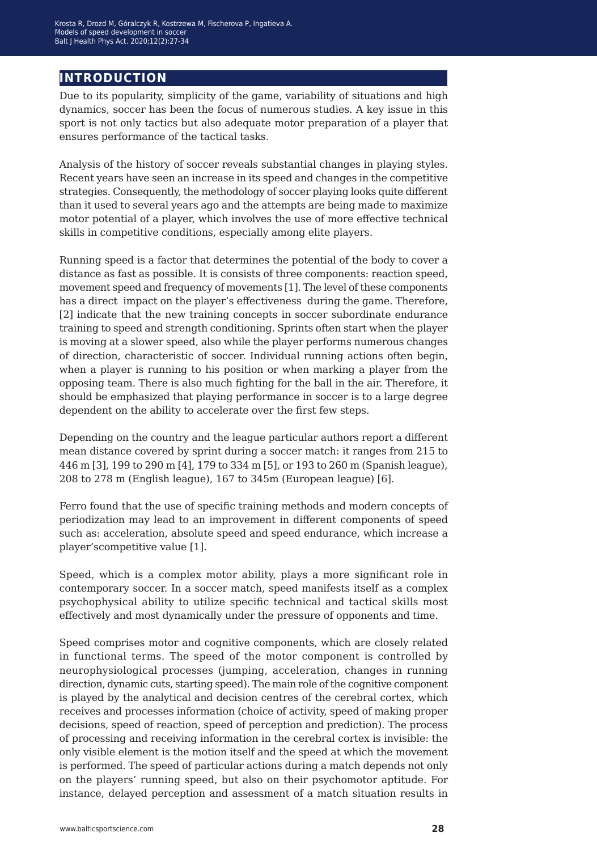### **introduction**

Due to its popularity, simplicity of the game, variability of situations and high dynamics, soccer has been the focus of numerous studies. A key issue in this sport is not only tactics but also adequate motor preparation of a player that ensures performance of the tactical tasks.

Analysis of the history of soccer reveals substantial changes in playing styles. Recent years have seen an increase in its speed and changes in the competitive strategies. Consequently, the methodology of soccer playing looks quite different than it used to several years ago and the attempts are being made to maximize motor potential of a player, which involves the use of more effective technical skills in competitive conditions, especially among elite players.

Running speed is a factor that determines the potential of the body to cover a distance as fast as possible. It is consists of three components: reaction speed, movement speed and frequency of movements [1]. The level of these components has a direct impact on the player's effectiveness during the game. Therefore, [2] indicate that the new training concepts in soccer subordinate endurance training to speed and strength conditioning. Sprints often start when the player is moving at a slower speed, also while the player performs numerous changes of direction, characteristic of soccer. Individual running actions often begin, when a player is running to his position or when marking a player from the opposing team. There is also much fighting for the ball in the air. Therefore, it should be emphasized that playing performance in soccer is to a large degree dependent on the ability to accelerate over the first few steps.

Depending on the country and the league particular authors report a different mean distance covered by sprint during a soccer match: it ranges from 215 to 446 m [3], 199 to 290 m [4], 179 to 334 m [5], or 193 to 260 m (Spanish league), 208 to 278 m (English league), 167 to 345m (European league) [6].

Ferro found that the use of specific training methods and modern concepts of periodization may lead to an improvement in different components of speed such as: acceleration, absolute speed and speed endurance, which increase a player'scompetitive value [1].

Speed, which is a complex motor ability, plays a more significant role in contemporary soccer. In a soccer match, speed manifests itself as a complex psychophysical ability to utilize specific technical and tactical skills most effectively and most dynamically under the pressure of opponents and time.

Speed comprises motor and cognitive components, which are closely related in functional terms. The speed of the motor component is controlled by neurophysiological processes (jumping, acceleration, changes in running direction, dynamic cuts, starting speed). The main role of the cognitive component is played by the analytical and decision centres of the cerebral cortex, which receives and processes information (choice of activity, speed of making proper decisions, speed of reaction, speed of perception and prediction). The process of processing and receiving information in the cerebral cortex is invisible: the only visible element is the motion itself and the speed at which the movement is performed. The speed of particular actions during a match depends not only on the players' running speed, but also on their psychomotor aptitude. For instance, delayed perception and assessment of a match situation results in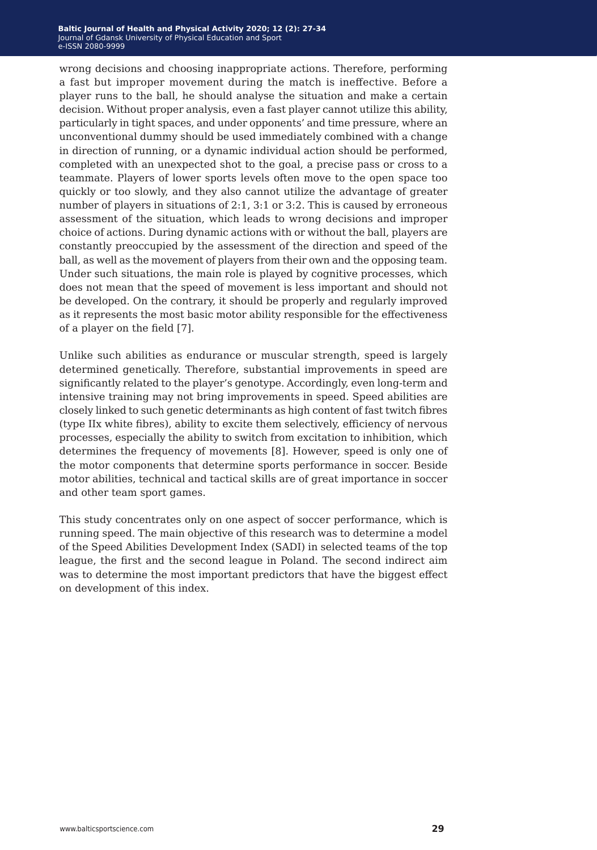wrong decisions and choosing inappropriate actions. Therefore, performing a fast but improper movement during the match is ineffective. Before a player runs to the ball, he should analyse the situation and make a certain decision. Without proper analysis, even a fast player cannot utilize this ability, particularly in tight spaces, and under opponents' and time pressure, where an unconventional dummy should be used immediately combined with a change in direction of running, or a dynamic individual action should be performed, completed with an unexpected shot to the goal, a precise pass or cross to a teammate. Players of lower sports levels often move to the open space too quickly or too slowly, and they also cannot utilize the advantage of greater number of players in situations of 2:1, 3:1 or 3:2. This is caused by erroneous assessment of the situation, which leads to wrong decisions and improper choice of actions. During dynamic actions with or without the ball, players are constantly preoccupied by the assessment of the direction and speed of the ball, as well as the movement of players from their own and the opposing team. Under such situations, the main role is played by cognitive processes, which does not mean that the speed of movement is less important and should not be developed. On the contrary, it should be properly and regularly improved as it represents the most basic motor ability responsible for the effectiveness of a player on the field [7].

Unlike such abilities as endurance or muscular strength, speed is largely determined genetically. Therefore, substantial improvements in speed are significantly related to the player's genotype. Accordingly, even long-term and intensive training may not bring improvements in speed. Speed abilities are closely linked to such genetic determinants as high content of fast twitch fibres (type IIx white fibres), ability to excite them selectively, efficiency of nervous processes, especially the ability to switch from excitation to inhibition, which determines the frequency of movements [8]. However, speed is only one of the motor components that determine sports performance in soccer. Beside motor abilities, technical and tactical skills are of great importance in soccer and other team sport games.

This study concentrates only on one aspect of soccer performance, which is running speed. The main objective of this research was to determine a model of the Speed Abilities Development Index (SADI) in selected teams of the top league, the first and the second league in Poland. The second indirect aim was to determine the most important predictors that have the biggest effect on development of this index.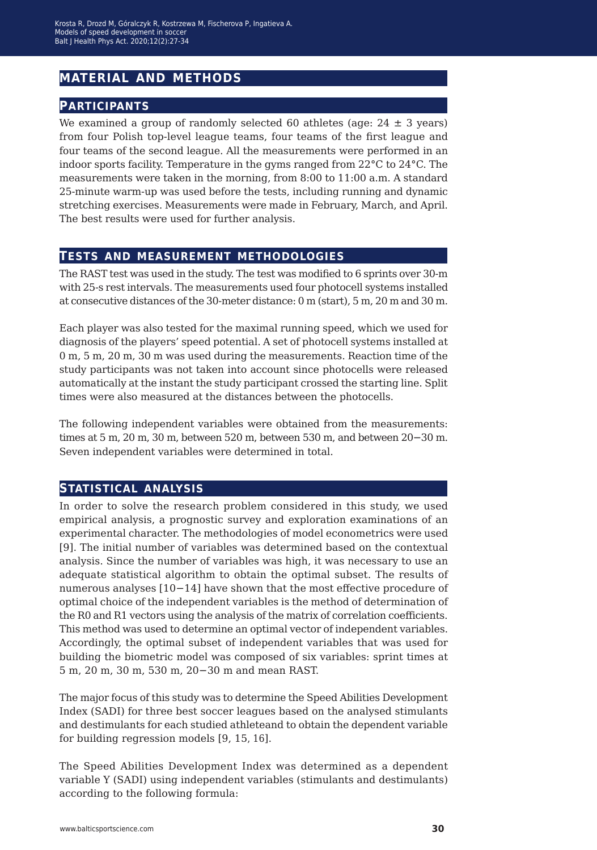## **material and methods**

#### **participants**

We examined a group of randomly selected 60 athletes (age:  $24 \pm 3$  years) from four Polish top-level league teams, four teams of the first league and four teams of the second league. All the measurements were performed in an indoor sports facility. Temperature in the gyms ranged from 22°C to 24°C. The measurements were taken in the morning, from 8:00 to 11:00 a.m. A standard 25-minute warm-up was used before the tests, including running and dynamic stretching exercises. Measurements were made in February, March, and April. The best results were used for further analysis.

#### **tests and measurement methodologies**

The RAST test was used in the study. The test was modified to 6 sprints over 30-m with 25-s rest intervals. The measurements used four photocell systems installed at consecutive distances of the 30-meter distance: 0 m (start), 5 m, 20 m and 30 m.

Each player was also tested for the maximal running speed, which we used for diagnosis of the players' speed potential. A set of photocell systems installed at 0 m, 5 m, 20 m, 30 m was used during the measurements. Reaction time of the study participants was not taken into account since photocells were released automatically at the instant the study participant crossed the starting line. Split times were also measured at the distances between the photocells.

The following independent variables were obtained from the measurements: times at 5 m, 20 m, 30 m, between 520 m, between 530 m, and between 20−30 m. Seven independent variables were determined in total.

#### **statistical analysis**

In order to solve the research problem considered in this study, we used empirical analysis, a prognostic survey and exploration examinations of an experimental character. The methodologies of model econometrics were used [9]. The initial number of variables was determined based on the contextual analysis. Since the number of variables was high, it was necessary to use an adequate statistical algorithm to obtain the optimal subset. The results of numerous analyses [10−14] have shown that the most effective procedure of optimal choice of the independent variables is the method of determination of the R0 and R1 vectors using the analysis of the matrix of correlation coefficients. This method was used to determine an optimal vector of independent variables. Accordingly, the optimal subset of independent variables that was used for building the biometric model was composed of six variables: sprint times at 5 m, 20 m, 30 m, 530 m, 20−30 m and mean RAST.

The major focus of this study was to determine the Speed Abilities Development Index (SADI) for three best soccer leagues based on the analysed stimulants and destimulants for each studied athleteand to obtain the dependent variable for building regression models [9, 15, 16].

The Speed Abilities Development Index was determined as a dependent variable Y (SADI) using independent variables (stimulants and destimulants) according to the following formula: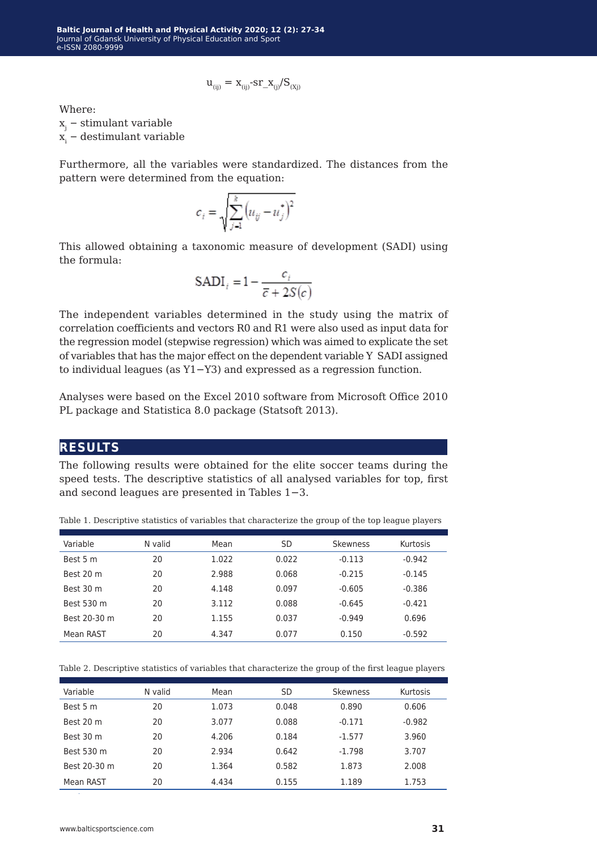$$
u_{(ij)} = x_{(ij)} - s r_x_{(j)} / S_{(xj)}
$$

Where:

xj − stimulant variable

xi − destimulant variable

Furthermore, all the variables were standardized. The distances from the pattern were determined from the equation:

$$
c_i = \sqrt{\sum_{j=1}^{k} (u_{ij} - u_j^*)^2}
$$

This allowed obtaining a taxonomic measure of development (SADI) using the formula:

$$
SADI_i = 1 - \frac{c_i}{\overline{c} + 2S(c)}
$$

The independent variables determined in the study using the matrix of correlation coefficients and vectors R0 and R1 were also used as input data for the regression model (stepwise regression) which was aimed to explicate the set of variables that has the major effect on the dependent variable Y SADI assigned to individual leagues (as Y1−Y3) and expressed as a regression function.

Analyses were based on the Excel 2010 software from Microsoft Office 2010 PL package and Statistica 8.0 package (Statsoft 2013).

#### **results**

The following results were obtained for the elite soccer teams during the speed tests. The descriptive statistics of all analysed variables for top, first and second leagues are presented in Tables 1−3.

| Variable     | N valid | Mean  | SD    | Skewness | Kurtosis |
|--------------|---------|-------|-------|----------|----------|
| Best 5 m     | 20      | 1.022 | 0.022 | $-0.113$ | $-0.942$ |
| Best 20 m    | 20      | 2.988 | 0.068 | $-0.215$ | $-0.145$ |
| Best 30 m    | 20      | 4.148 | 0.097 | $-0.605$ | $-0.386$ |
| Best 530 m   | 20      | 3.112 | 0.088 | $-0.645$ | $-0.421$ |
| Best 20-30 m | 20      | 1.155 | 0.037 | $-0.949$ | 0.696    |
| Mean RAST    | 20      | 4.347 | 0.077 | 0.150    | $-0.592$ |

Table 1. Descriptive statistics of variables that characterize the group of the top league players

Table 2. Descriptive statistics of variables that characterize the group of the first league players

| Variable     | N valid | Mean  | SD    | <b>Skewness</b> | Kurtosis |
|--------------|---------|-------|-------|-----------------|----------|
| Best 5 m     | 20      | 1.073 | 0.048 | 0.890           | 0.606    |
| Best 20 m    | 20      | 3.077 | 0.088 | $-0.171$        | $-0.982$ |
| Best 30 m    | 20      | 4.206 | 0.184 | $-1.577$        | 3.960    |
| Best 530 m   | 20      | 2.934 | 0.642 | $-1.798$        | 3.707    |
| Best 20-30 m | 20      | 1.364 | 0.582 | 1.873           | 2.008    |
| Mean RAST    | 20      | 4.434 | 0.155 | 1.189           | 1.753    |
|              |         |       |       |                 |          |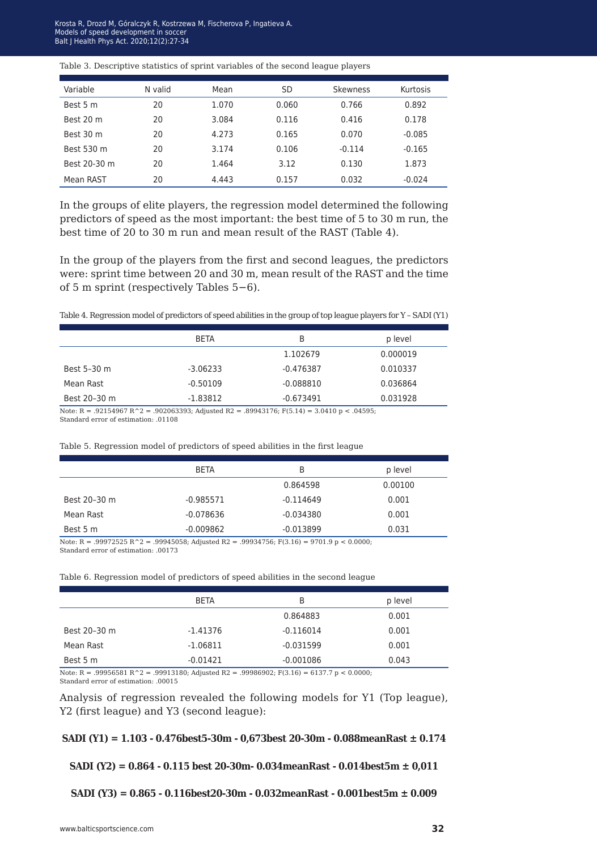**Baltic Journal of Health and Physical Activity 2014; 1(1): 1-4** Models of speed development in soccer alt I Health Phys Act. 2020:12(2):27-34 Balt J Health Phys Act. 2020;12(2):27-34 Krosta R, Drozd M, Góralczyk R, Kostrzewa M, Fischerova P, Ingatieva A.

#### Table 3. Descriptive statistics of sprint variables of the second league players

| Variable     | N valid | Mean  | SD    | Skewness | Kurtosis |
|--------------|---------|-------|-------|----------|----------|
| Best 5 m     | 20      | 1.070 | 0.060 | 0.766    | 0.892    |
| Best 20 m    | 20      | 3.084 | 0.116 | 0.416    | 0.178    |
| Best 30 m    | 20      | 4.273 | 0.165 | 0.070    | $-0.085$ |
| Best 530 m   | 20      | 3.174 | 0.106 | $-0.114$ | $-0.165$ |
| Best 20-30 m | 20      | 1.464 | 3.12  | 0.130    | 1.873    |
| Mean RAST    | 20      | 4.443 | 0.157 | 0.032    | $-0.024$ |

In the groups of elite players, the regression model determined the following predictors of speed as the most important: the best time of 5 to 30 m run, the best time of 20 to 30 m run and mean result of the RAST (Table 4).

In the group of the players from the first and second leagues, the predictors were: sprint time between 20 and 30 m, mean result of the RAST and the time of 5 m sprint (respectively Tables 5−6).

|              | <b>BETA</b> | B           | p level  |
|--------------|-------------|-------------|----------|
|              |             | 1.102679    | 0.000019 |
| Best 5-30 m  | $-3.06233$  | $-0.476387$ | 0.010337 |
| Mean Rast    | $-0.50109$  | $-0.088810$ | 0.036864 |
| Best 20-30 m | $-1.83812$  | $-0.673491$ | 0.031928 |
|              |             |             |          |

Note: R = .92154967 R^2 = .902063393; Adjusted R2 = .89943176; F(5.14) = 3.0410 p < .04595; Standard error of estimation: .01108

| Table 5. Regression model of predictors of speed abilities in the first league |  |  |  |  |
|--------------------------------------------------------------------------------|--|--|--|--|
|                                                                                |  |  |  |  |

|              | <b>BETA</b> | B           | p level |
|--------------|-------------|-------------|---------|
|              |             | 0.864598    | 0.00100 |
| Best 20-30 m | $-0.985571$ | $-0.114649$ | 0.001   |
| Mean Rast    | $-0.078636$ | $-0.034380$ | 0.001   |
| Best 5 m     | $-0.009862$ | $-0.013899$ | 0.031   |

Note: R = .99972525 R^2 = .99945058; Adjusted R2 = .99934756; F(3.16) = 9701.9 p < 0.0000; Standard error of estimation: .00173

| Table 6. Regression model of predictors of speed abilities in the second league |  |
|---------------------------------------------------------------------------------|--|
|---------------------------------------------------------------------------------|--|

|              | <b>BETA</b> | B           | p level |
|--------------|-------------|-------------|---------|
|              |             | 0.864883    | 0.001   |
| Best 20-30 m | $-1.41376$  | $-0.116014$ | 0.001   |
| Mean Rast    | $-1.06811$  | $-0.031599$ | 0.001   |
| Best 5 m     | $-0.01421$  | $-0.001086$ | 0.043   |

Note: R = .99956581 R^2 = .99913180; Adjusted R2 = .99986902; F(3.16) = 6137.7 p < 0.0000; Standard error of estimation: .00015

Analysis of regression revealed the following models for Y1 (Top league), Y2 (first league) and Y3 (second league):

**SADI (Y1) = 1.103 - 0.476best5-30m - 0,673best 20-30m - 0.088meanRast ± 0.174**

**SADI (Y2) = 0.864 - 0.115 best 20-30m- 0.034meanRast - 0.014best5m ± 0,011**

**SADI (Y3) = 0.865 - 0.116best20-30m - 0.032meanRast - 0.001best5m ± 0.009**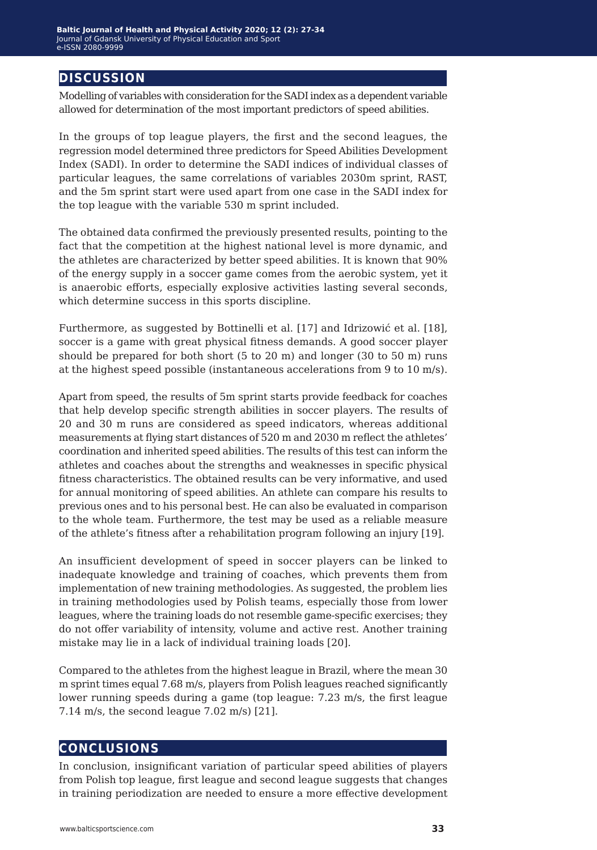#### **discussion**

Modelling of variables with consideration for the SADI index as a dependent variable allowed for determination of the most important predictors of speed abilities.

In the groups of top league players, the first and the second leagues, the regression model determined three predictors for Speed Abilities Development Index (SADI). In order to determine the SADI indices of individual classes of particular leagues, the same correlations of variables 2030m sprint, RAST, and the 5m sprint start were used apart from one case in the SADI index for the top league with the variable 530 m sprint included.

The obtained data confirmed the previously presented results, pointing to the fact that the competition at the highest national level is more dynamic, and the athletes are characterized by better speed abilities. It is known that 90% of the energy supply in a soccer game comes from the aerobic system, yet it is anaerobic efforts, especially explosive activities lasting several seconds, which determine success in this sports discipline.

Furthermore, as suggested by Bottinelli et al. [17] and Idrizowić et al. [18], soccer is a game with great physical fitness demands. A good soccer player should be prepared for both short (5 to 20 m) and longer (30 to 50 m) runs at the highest speed possible (instantaneous accelerations from 9 to 10 m/s).

Apart from speed, the results of 5m sprint starts provide feedback for coaches that help develop specific strength abilities in soccer players. The results of 20 and 30 m runs are considered as speed indicators, whereas additional measurements at flying start distances of 520 m and 2030 m reflect the athletes' coordination and inherited speed abilities. The results of this test can inform the athletes and coaches about the strengths and weaknesses in specific physical fitness characteristics. The obtained results can be very informative, and used for annual monitoring of speed abilities. An athlete can compare his results to previous ones and to his personal best. He can also be evaluated in comparison to the whole team. Furthermore, the test may be used as a reliable measure of the athlete's fitness after a rehabilitation program following an injury [19].

An insufficient development of speed in soccer players can be linked to inadequate knowledge and training of coaches, which prevents them from implementation of new training methodologies. As suggested, the problem lies in training methodologies used by Polish teams, especially those from lower leagues, where the training loads do not resemble game-specific exercises; they do not offer variability of intensity, volume and active rest. Another training mistake may lie in a lack of individual training loads [20].

Compared to the athletes from the highest league in Brazil, where the mean 30 m sprint times equal 7.68 m/s, players from Polish leagues reached significantly lower running speeds during a game (top league: 7.23 m/s, the first league 7.14 m/s, the second league 7.02 m/s) [21].

#### **conclusions**

In conclusion, insignificant variation of particular speed abilities of players from Polish top league, first league and second league suggests that changes in training periodization are needed to ensure a more effective development